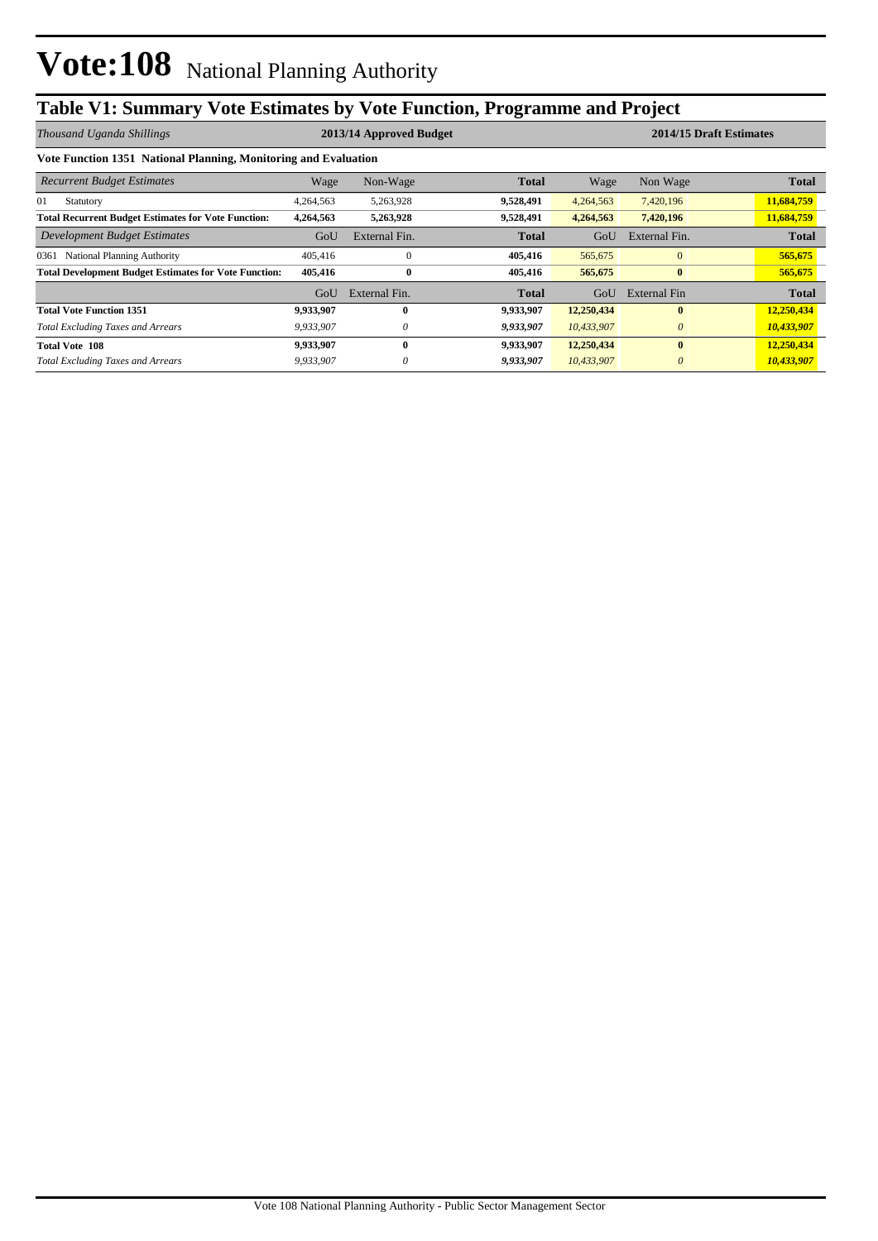## **Table V1: Summary Vote Estimates by Vote Function, Programme and Project**

| Thousand Uganda Shillings                                       |           | 2013/14 Approved Budget |              |            | 2014/15 Draft Estimates |              |  |  |  |
|-----------------------------------------------------------------|-----------|-------------------------|--------------|------------|-------------------------|--------------|--|--|--|
| Vote Function 1351 National Planning, Monitoring and Evaluation |           |                         |              |            |                         |              |  |  |  |
| <b>Recurrent Budget Estimates</b>                               | Wage      | Non-Wage                | <b>Total</b> | Wage       | Non Wage                | <b>Total</b> |  |  |  |
| 01<br>Statutory                                                 | 4,264,563 | 5,263,928               | 9,528,491    | 4,264,563  | 7,420,196               | 11,684,759   |  |  |  |
| <b>Total Recurrent Budget Estimates for Vote Function:</b>      | 4,264,563 | 5,263,928               | 9,528,491    | 4,264,563  | 7,420,196               | 11,684,759   |  |  |  |
| Development Budget Estimates                                    | GoU       | External Fin.           | <b>Total</b> | GoU        | External Fin.           | <b>Total</b> |  |  |  |
| 0361 National Planning Authority                                | 405,416   | $\Omega$                | 405,416      | 565,675    | $\overline{0}$          | 565,675      |  |  |  |
| <b>Total Development Budget Estimates for Vote Function:</b>    | 405,416   | $\bf{0}$                | 405,416      | 565,675    | $\bf{0}$                | 565,675      |  |  |  |
|                                                                 | GoU       | External Fin.           | Total        | GoU        | External Fin            | <b>Total</b> |  |  |  |
| <b>Total Vote Function 1351</b>                                 | 9,933,907 | 0                       | 9,933,907    | 12,250,434 | $\mathbf{0}$            | 12,250,434   |  |  |  |
| <b>Total Excluding Taxes and Arrears</b>                        | 9,933,907 | 0                       | 9,933,907    | 10,433,907 | $\theta$                | 10,433,907   |  |  |  |
| <b>Total Vote 108</b>                                           | 9,933,907 | 0                       | 9,933,907    | 12,250,434 | $\mathbf{0}$            | 12,250,434   |  |  |  |
| <b>Total Excluding Taxes and Arrears</b>                        | 9,933,907 |                         | 9,933,907    | 10,433,907 | $\theta$                | 10,433,907   |  |  |  |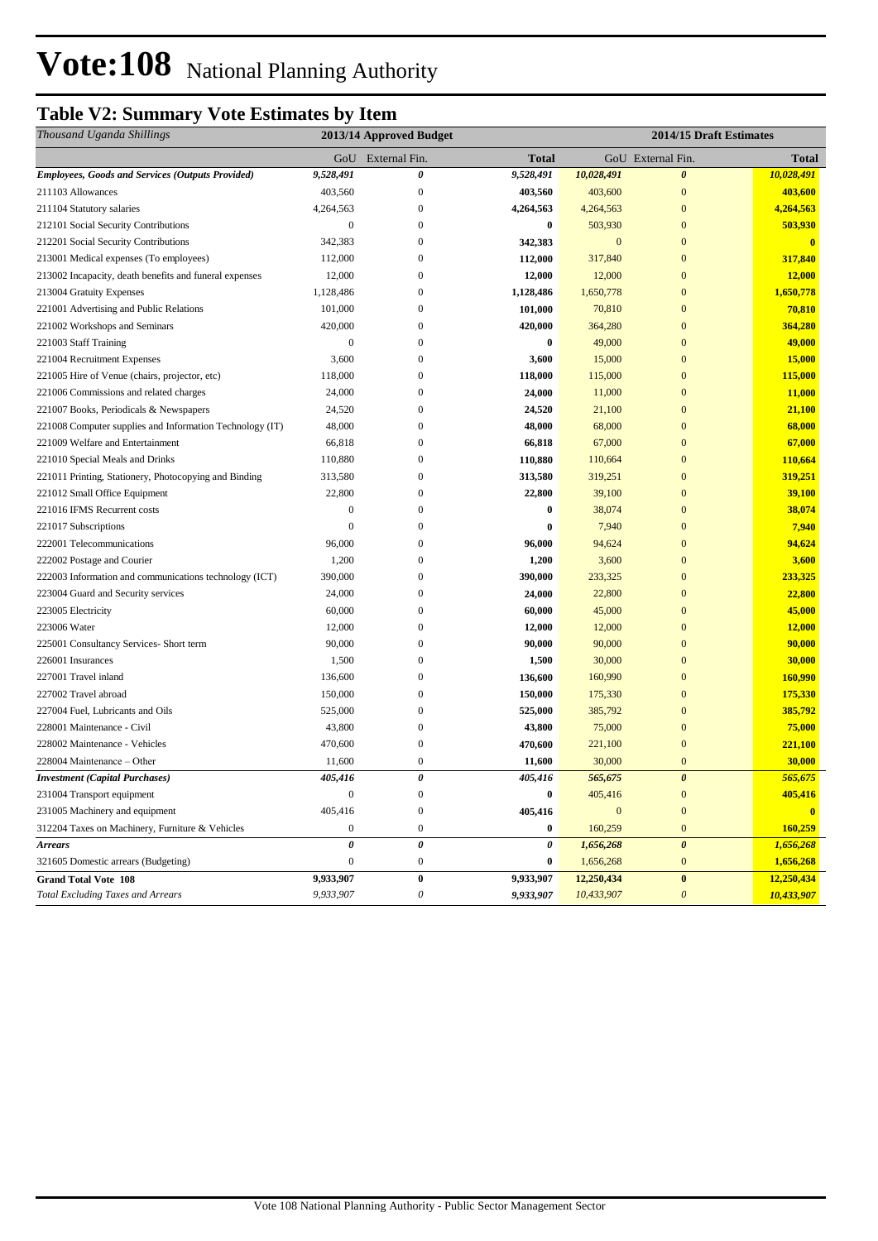# Vote: 108 National Planning Authority

## **Table V2: Summary Vote Estimates by Item**

| Thousand Uganda Shillings                                | 2013/14 Approved Budget |                       |              |              | 2014/15 Draft Estimates   |               |  |
|----------------------------------------------------------|-------------------------|-----------------------|--------------|--------------|---------------------------|---------------|--|
|                                                          |                         | GoU External Fin.     | <b>Total</b> |              | GoU External Fin.         | <b>Total</b>  |  |
| <b>Employees, Goods and Services (Outputs Provided)</b>  | 9,528,491               | 0                     | 9,528,491    | 10,028,491   | $\boldsymbol{\theta}$     | 10,028,491    |  |
| 211103 Allowances                                        | 403,560                 | $\boldsymbol{0}$      | 403,560      | 403,600      | $\mathbf{0}$              | 403,600       |  |
| 211104 Statutory salaries                                | 4,264,563               | $\boldsymbol{0}$      | 4,264,563    | 4,264,563    | $\mathbf{0}$              | 4,264,563     |  |
| 212101 Social Security Contributions                     | $\mathbf{0}$            | $\boldsymbol{0}$      | $\bf{0}$     | 503,930      | $\mathbf{0}$              | 503,930       |  |
| 212201 Social Security Contributions                     | 342,383                 | $\mathbf{0}$          | 342,383      | $\mathbf{0}$ | $\mathbf{0}$              | $\mathbf{0}$  |  |
| 213001 Medical expenses (To employees)                   | 112,000                 | 0                     | 112,000      | 317,840      | $\mathbf{0}$              | 317,840       |  |
| 213002 Incapacity, death benefits and funeral expenses   | 12,000                  | 0                     | 12,000       | 12,000       | $\mathbf{0}$              | <b>12,000</b> |  |
| 213004 Gratuity Expenses                                 | 1,128,486               | 0                     | 1,128,486    | 1,650,778    | $\mathbf{0}$              | 1,650,778     |  |
| 221001 Advertising and Public Relations                  | 101,000                 | 0                     | 101,000      | 70,810       | $\mathbf{0}$              | 70,810        |  |
| 221002 Workshops and Seminars                            | 420,000                 | $\boldsymbol{0}$      | 420,000      | 364,280      | $\mathbf{0}$              | 364,280       |  |
| 221003 Staff Training                                    | $\boldsymbol{0}$        | $\boldsymbol{0}$      | $\bf{0}$     | 49,000       | $\mathbf{0}$              | 49,000        |  |
| 221004 Recruitment Expenses                              | 3,600                   | $\boldsymbol{0}$      | 3,600        | 15,000       | $\mathbf{0}$              | 15,000        |  |
| 221005 Hire of Venue (chairs, projector, etc)            | 118,000                 | $\mathbf{0}$          | 118,000      | 115,000      | $\mathbf{0}$              | 115,000       |  |
| 221006 Commissions and related charges                   | 24,000                  | $\boldsymbol{0}$      | 24,000       | 11,000       | $\mathbf{0}$              | 11,000        |  |
| 221007 Books, Periodicals & Newspapers                   | 24,520                  | $\boldsymbol{0}$      | 24,520       | 21,100       | $\mathbf{0}$              | 21,100        |  |
| 221008 Computer supplies and Information Technology (IT) | 48,000                  | $\boldsymbol{0}$      | 48,000       | 68,000       | $\mathbf{0}$              | 68,000        |  |
| 221009 Welfare and Entertainment                         | 66,818                  | 0                     | 66,818       | 67,000       | $\bf{0}$                  | 67,000        |  |
| 221010 Special Meals and Drinks                          | 110,880                 | 0                     | 110,880      | 110,664      | $\mathbf{0}$              | 110,664       |  |
| 221011 Printing, Stationery, Photocopying and Binding    | 313,580                 | 0                     | 313,580      | 319,251      | $\mathbf{0}$              | 319,251       |  |
| 221012 Small Office Equipment                            | 22,800                  | $\boldsymbol{0}$      | 22,800       | 39,100       | $\mathbf{0}$              | 39,100        |  |
| 221016 IFMS Recurrent costs                              | $\mathbf{0}$            | $\boldsymbol{0}$      | $\bf{0}$     | 38,074       | $\mathbf{0}$              | 38,074        |  |
| 221017 Subscriptions                                     | $\mathbf{0}$            | $\mathbf{0}$          | $\bf{0}$     | 7,940        | $\mathbf{0}$              | 7,940         |  |
| 222001 Telecommunications                                | 96,000                  | 0                     | 96,000       | 94,624       | $\mathbf{0}$              | 94,624        |  |
| 222002 Postage and Courier                               | 1,200                   | $\mathbf{0}$          | 1,200        | 3,600        | $\mathbf{0}$              | 3,600         |  |
| 222003 Information and communications technology (ICT)   | 390,000                 | $\boldsymbol{0}$      | 390,000      | 233,325      | $\mathbf{0}$              | 233,325       |  |
| 223004 Guard and Security services                       | 24,000                  | $\boldsymbol{0}$      | 24,000       | 22,800       | $\mathbf{0}$              | 22,800        |  |
| 223005 Electricity                                       | 60,000                  | 0                     | 60,000       | 45,000       | $\mathbf{0}$              | 45,000        |  |
| 223006 Water                                             | 12,000                  | 0                     | 12,000       | 12,000       | $\mathbf{0}$              | 12,000        |  |
| 225001 Consultancy Services- Short term                  | 90,000                  | $\overline{0}$        | 90,000       | 90,000       | $\mathbf{0}$              | 90,000        |  |
| 226001 Insurances                                        | 1,500                   | 0                     | 1,500        | 30,000       | $\mathbf{0}$              | 30,000        |  |
| 227001 Travel inland                                     | 136,600                 | $\boldsymbol{0}$      | 136,600      | 160,990      | $\mathbf{0}$              | 160,990       |  |
| 227002 Travel abroad                                     | 150,000                 | $\boldsymbol{0}$      | 150,000      | 175,330      | $\mathbf{0}$              | 175,330       |  |
| 227004 Fuel, Lubricants and Oils                         | 525,000                 | $\boldsymbol{0}$      | 525,000      | 385,792      | $\mathbf{0}$              | 385,792       |  |
| 228001 Maintenance - Civil                               | 43,800                  | $\boldsymbol{0}$      | 43,800       | 75,000       | $\mathbf{0}$              | 75,000        |  |
| 228002 Maintenance - Vehicles                            | 470,600                 | $\boldsymbol{0}$      | 470,600      | 221,100      | $\mathbf{0}$              | 221,100       |  |
| 228004 Maintenance – Other                               | 11,600                  | $\boldsymbol{0}$      | 11,600       | 30,000       | $\bf{0}$                  | 30,000        |  |
| <b>Investment</b> (Capital Purchases)                    | 405,416                 | $\pmb{\theta}$        | 405,416      | 565,675      | $\boldsymbol{\theta}$     | 565,675       |  |
| 231004 Transport equipment                               | $\boldsymbol{0}$        | $\boldsymbol{0}$      | $\bf{0}$     | 405,416      | $\boldsymbol{0}$          | 405,416       |  |
| 231005 Machinery and equipment                           | 405,416                 | $\boldsymbol{0}$      | 405,416      | $\mathbf{0}$ | $\mathbf{0}$              |               |  |
| 312204 Taxes on Machinery, Furniture & Vehicles          | $\mathbf{0}$            | $\boldsymbol{0}$      | $\bf{0}$     | 160,259      | $\boldsymbol{0}$          | 160,259       |  |
| <b>Arrears</b>                                           | 0                       | $\pmb{\theta}$        | 0            | 1,656,268    | $\boldsymbol{\theta}$     | 1,656,268     |  |
| 321605 Domestic arrears (Budgeting)                      | $\mathbf{0}$            | $\boldsymbol{0}$      | $\bf{0}$     | 1,656,268    | $\bf{0}$                  | 1,656,268     |  |
| <b>Grand Total Vote 108</b>                              | 9,933,907               | $\bf{0}$              | 9,933,907    | 12,250,434   | $\bf{0}$                  | 12,250,434    |  |
| <b>Total Excluding Taxes and Arrears</b>                 | 9,933,907               | $\boldsymbol{\theta}$ | 9,933,907    | 10,433,907   | $\boldsymbol{\mathit{0}}$ | 10,433,907    |  |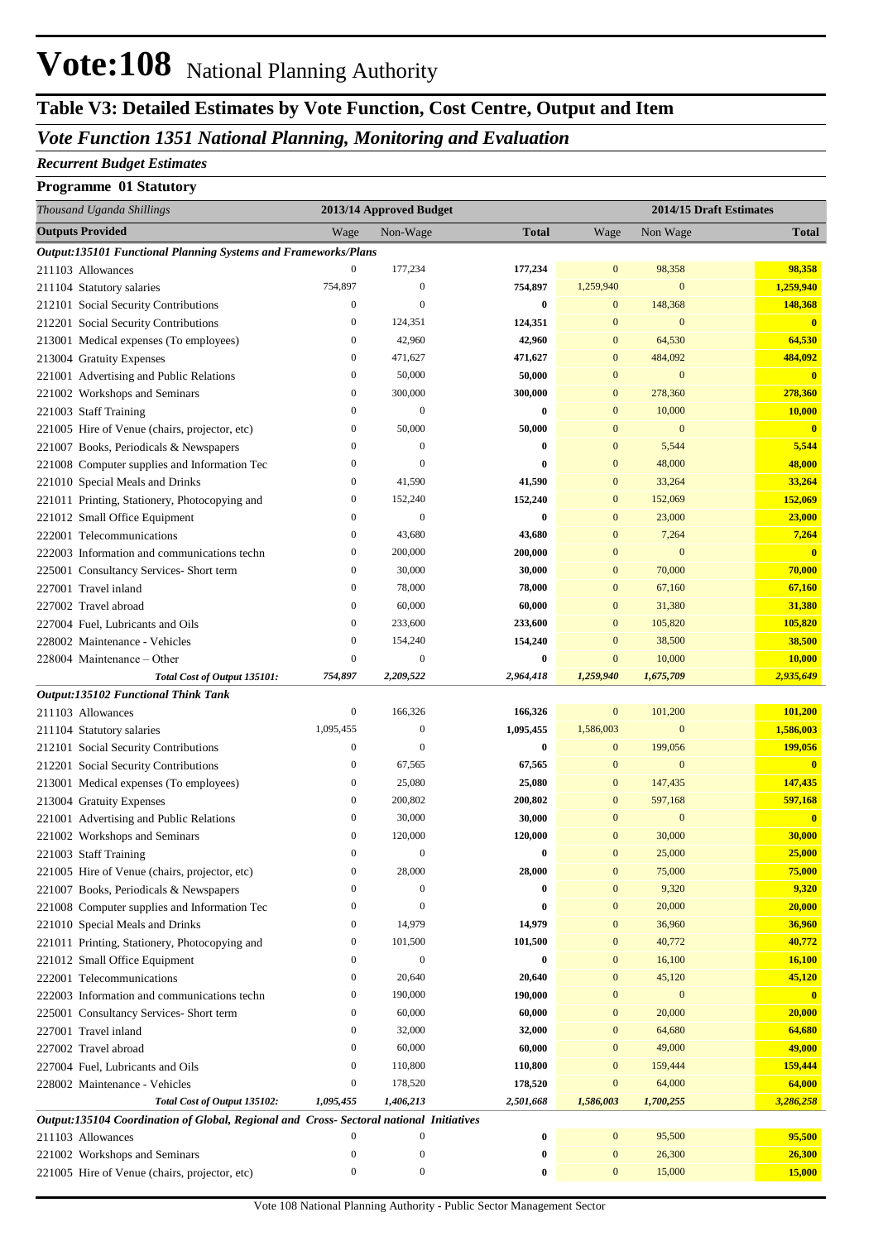# **Vote:108** National Planning Authority

## **Table V3: Detailed Estimates by Vote Function, Cost Centre, Output and Item**

#### *Vote Function 1351 National Planning, Monitoring and Evaluation*

#### *Recurrent Budget Estimates*

#### **Programme 01 Statutory**

| Thousand Uganda Shillings                                                               |                  | 2013/14 Approved Budget |              |                  |                  | 2014/15 Draft Estimates |
|-----------------------------------------------------------------------------------------|------------------|-------------------------|--------------|------------------|------------------|-------------------------|
| <b>Outputs Provided</b>                                                                 | Wage             | Non-Wage                | <b>Total</b> | Wage             | Non Wage         | <b>Total</b>            |
| Output:135101 Functional Planning Systems and Frameworks/Plans                          |                  |                         |              |                  |                  |                         |
| 211103 Allowances                                                                       | $\boldsymbol{0}$ | 177,234                 | 177,234      | $\mathbf{0}$     | 98,358           | 98,358                  |
| 211104 Statutory salaries                                                               | 754,897          | $\boldsymbol{0}$        | 754,897      | 1,259,940        | $\mathbf{0}$     | 1,259,940               |
| 212101 Social Security Contributions                                                    | $\boldsymbol{0}$ | $\mathbf{0}$            | $\bf{0}$     | $\bf{0}$         | 148,368          | 148,368                 |
| 212201 Social Security Contributions                                                    | $\boldsymbol{0}$ | 124,351                 | 124,351      | $\bf{0}$         | $\mathbf{0}$     | $\mathbf{0}$            |
| 213001 Medical expenses (To employees)                                                  | $\boldsymbol{0}$ | 42,960                  | 42,960       | $\bf{0}$         | 64,530           | 64,530                  |
| 213004 Gratuity Expenses                                                                | $\boldsymbol{0}$ | 471,627                 | 471,627      | $\bf{0}$         | 484,092          | 484,092                 |
| 221001 Advertising and Public Relations                                                 | $\boldsymbol{0}$ | 50,000                  | 50,000       | $\bf{0}$         | $\mathbf{0}$     | $\mathbf{0}$            |
| 221002 Workshops and Seminars                                                           | $\boldsymbol{0}$ | 300,000                 | 300,000      | $\mathbf{0}$     | 278,360          | 278,360                 |
| 221003 Staff Training                                                                   | $\boldsymbol{0}$ | $\mathbf{0}$            | $\bf{0}$     | $\bf{0}$         | 10,000           | 10,000                  |
| 221005 Hire of Venue (chairs, projector, etc)                                           | $\boldsymbol{0}$ | 50,000                  | 50,000       | $\mathbf{0}$     | $\mathbf{0}$     | $\mathbf{0}$            |
| 221007 Books, Periodicals & Newspapers                                                  | $\boldsymbol{0}$ | $\boldsymbol{0}$        | $\bf{0}$     | $\mathbf{0}$     | 5,544            | 5,544                   |
| 221008 Computer supplies and Information Tec                                            | $\mathbf{0}$     | $\mathbf{0}$            | $\bf{0}$     | $\mathbf{0}$     | 48,000           | 48,000                  |
| 221010 Special Meals and Drinks                                                         | $\boldsymbol{0}$ | 41,590                  | 41,590       | $\mathbf{0}$     | 33,264           | 33,264                  |
| 221011 Printing, Stationery, Photocopying and                                           | $\boldsymbol{0}$ | 152,240                 | 152,240      | $\mathbf{0}$     | 152,069          | 152,069                 |
| 221012 Small Office Equipment                                                           | $\boldsymbol{0}$ | $\mathbf{0}$            | $\bf{0}$     | $\bf{0}$         | 23,000           | 23,000                  |
| 222001 Telecommunications                                                               | $\boldsymbol{0}$ | 43,680                  | 43,680       | $\bf{0}$         | 7,264            | 7,264                   |
| 222003 Information and communications techn                                             | $\boldsymbol{0}$ | 200,000                 | 200,000      | $\mathbf{0}$     | $\mathbf{0}$     | $\overline{\mathbf{0}}$ |
| 225001 Consultancy Services- Short term                                                 | $\boldsymbol{0}$ | 30,000                  | 30,000       | $\mathbf{0}$     | 70,000           | 70,000                  |
| 227001 Travel inland                                                                    | $\boldsymbol{0}$ | 78,000                  | 78,000       | $\bf{0}$         | 67,160           | 67,160                  |
| 227002 Travel abroad                                                                    | $\boldsymbol{0}$ | 60,000                  | 60,000       | $\bf{0}$         | 31,380           | 31,380                  |
| 227004 Fuel, Lubricants and Oils                                                        | $\boldsymbol{0}$ | 233,600                 | 233,600      | $\mathbf{0}$     | 105,820          | 105,820                 |
| 228002 Maintenance - Vehicles                                                           | $\boldsymbol{0}$ | 154,240                 | 154,240      | $\mathbf{0}$     | 38,500           | 38,500                  |
| 228004 Maintenance - Other                                                              | $\mathbf{0}$     | $\mathbf{0}$            | $\bf{0}$     | $\mathbf{0}$     | 10,000           | 10,000                  |
| Total Cost of Output 135101:                                                            | 754,897          | 2,209,522               | 2,964,418    | 1,259,940        | 1,675,709        | 2,935,649               |
| Output:135102 Functional Think Tank                                                     |                  |                         |              |                  |                  |                         |
| 211103 Allowances                                                                       | $\boldsymbol{0}$ | 166,326                 | 166,326      | $\boldsymbol{0}$ | 101,200          | 101,200                 |
| 211104 Statutory salaries                                                               | 1,095,455        | $\boldsymbol{0}$        | 1,095,455    | 1,586,003        | $\mathbf{0}$     | 1,586,003               |
| 212101 Social Security Contributions                                                    | $\boldsymbol{0}$ | $\mathbf{0}$            | $\bf{0}$     | $\boldsymbol{0}$ | 199,056          | 199,056                 |
| 212201 Social Security Contributions                                                    | $\boldsymbol{0}$ | 67,565                  | 67,565       | $\mathbf{0}$     | $\mathbf{0}$     | $\mathbf{0}$            |
| 213001 Medical expenses (To employees)                                                  | $\boldsymbol{0}$ | 25,080                  | 25,080       | $\mathbf{0}$     | 147,435          | 147,435                 |
| 213004 Gratuity Expenses                                                                | $\boldsymbol{0}$ | 200,802                 | 200,802      | $\mathbf{0}$     | 597,168          | 597,168                 |
| 221001 Advertising and Public Relations                                                 | $\boldsymbol{0}$ | 30,000                  | 30,000       | $\mathbf{0}$     | $\mathbf{0}$     | $\mathbf{0}$            |
| 221002 Workshops and Seminars                                                           | $\boldsymbol{0}$ | 120,000                 | 120,000      | $\mathbf{0}$     | 30,000           | 30,000                  |
| 221003 Staff Training                                                                   | $\mathbf{0}$     | $\boldsymbol{0}$        | $\bf{0}$     | $\mathbf{0}$     | 25,000           | 25,000                  |
| 221005 Hire of Venue (chairs, projector, etc)                                           | $\boldsymbol{0}$ | 28,000                  | 28,000       | $\boldsymbol{0}$ | 75,000           | 75,000                  |
| 221007 Books, Periodicals & Newspapers                                                  | $\boldsymbol{0}$ | $\overline{0}$          | 0            | $\boldsymbol{0}$ | 9,320            | 9,320                   |
| 221008 Computer supplies and Information Tec                                            | $\boldsymbol{0}$ | $\mathbf{0}$            | $\bf{0}$     | $\boldsymbol{0}$ | 20,000           | 20,000                  |
| 221010 Special Meals and Drinks                                                         | $\boldsymbol{0}$ | 14,979                  | 14,979       | $\boldsymbol{0}$ | 36,960           | 36,960                  |
| 221011 Printing, Stationery, Photocopying and                                           | $\boldsymbol{0}$ | 101,500                 | 101,500      | $\boldsymbol{0}$ | 40,772           | 40,772                  |
| 221012 Small Office Equipment                                                           | $\boldsymbol{0}$ | $\mathbf{0}$            | $\bf{0}$     | $\boldsymbol{0}$ | 16,100           | 16,100                  |
| 222001 Telecommunications                                                               | $\boldsymbol{0}$ | 20,640                  | 20,640       | $\boldsymbol{0}$ | 45,120           | 45,120                  |
| 222003 Information and communications techn                                             | $\boldsymbol{0}$ | 190,000                 | 190,000      | $\boldsymbol{0}$ | $\boldsymbol{0}$ | $\mathbf{0}$            |
| 225001 Consultancy Services- Short term                                                 | $\boldsymbol{0}$ | 60,000                  | 60,000       | $\boldsymbol{0}$ | 20,000           | 20,000                  |
| 227001 Travel inland                                                                    | $\boldsymbol{0}$ | 32,000                  | 32,000       | $\boldsymbol{0}$ | 64,680           | 64,680                  |
| 227002 Travel abroad                                                                    | $\boldsymbol{0}$ | 60,000                  | 60,000       | $\boldsymbol{0}$ | 49,000           | 49,000                  |
| 227004 Fuel, Lubricants and Oils                                                        | $\boldsymbol{0}$ | 110,800                 | 110,800      | $\boldsymbol{0}$ | 159,444          | 159,444                 |
| 228002 Maintenance - Vehicles                                                           | $\boldsymbol{0}$ | 178,520                 | 178,520      | $\boldsymbol{0}$ | 64,000           | 64,000                  |
| Total Cost of Output 135102:                                                            | 1,095,455        | 1,406,213               | 2,501,668    | 1,586,003        | 1,700,255        | 3,286,258               |
| Output:135104 Coordination of Global, Regional and Cross- Sectoral national Initiatives |                  |                         |              |                  |                  |                         |
| 211103 Allowances                                                                       | $\boldsymbol{0}$ | $\boldsymbol{0}$        | $\pmb{0}$    | $\boldsymbol{0}$ | 95,500           | 95,500                  |
| 221002 Workshops and Seminars                                                           | $\boldsymbol{0}$ | $\boldsymbol{0}$        | $\bf{0}$     | $\boldsymbol{0}$ | 26,300           | 26,300                  |
| 221005 Hire of Venue (chairs, projector, etc)                                           | $\boldsymbol{0}$ | $\boldsymbol{0}$        | $\bf{0}$     | $\boldsymbol{0}$ | 15,000           | 15,000                  |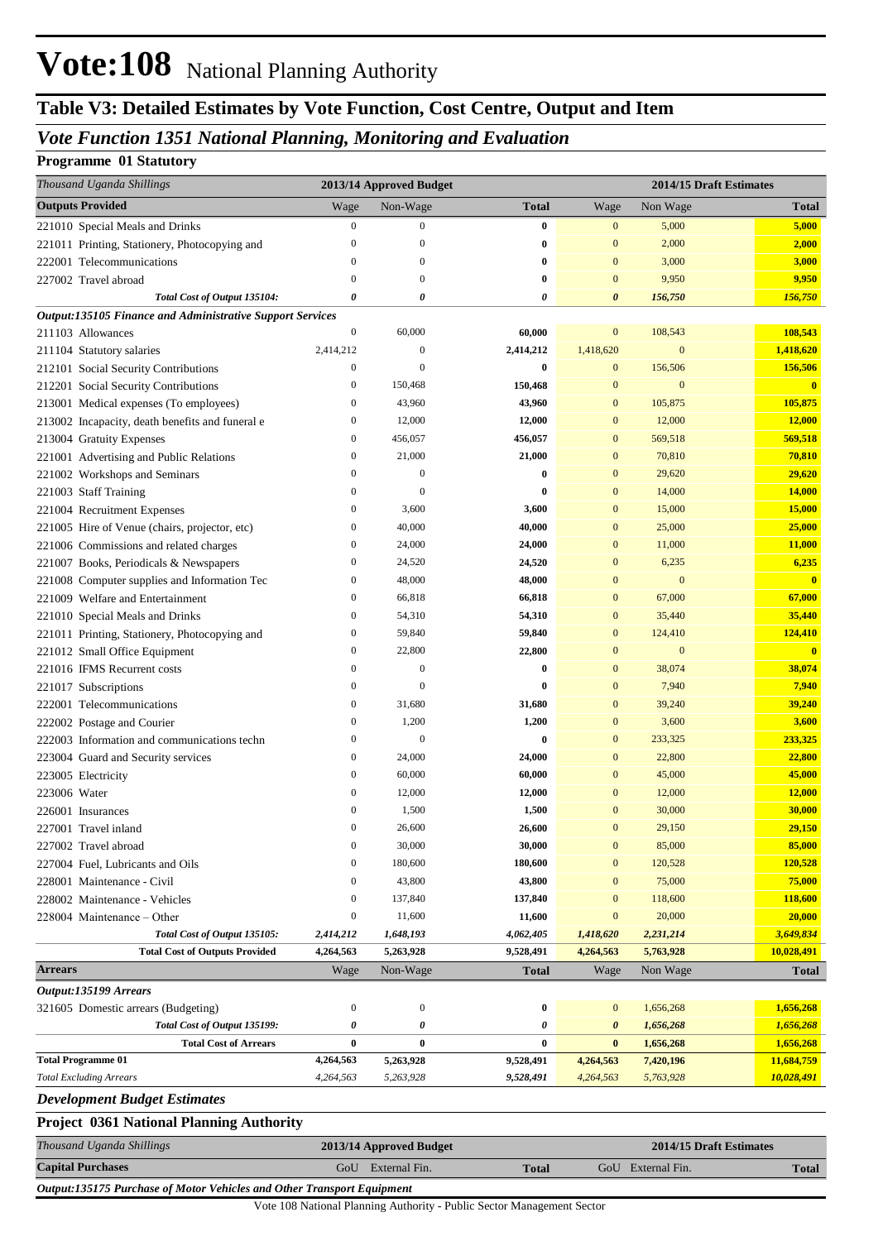# **Vote:108** National Planning Authority

### **Table V3: Detailed Estimates by Vote Function, Cost Centre, Output and Item**

### *Vote Function 1351 National Planning, Monitoring and Evaluation*

#### **Programme 01 Statutory**

| Thousand Uganda Shillings                                   | 2013/14 Approved Budget          |                   |                   | 2014/15 Draft Estimates      |                   |                         |
|-------------------------------------------------------------|----------------------------------|-------------------|-------------------|------------------------------|-------------------|-------------------------|
| <b>Outputs Provided</b>                                     | Wage                             | Non-Wage          | <b>Total</b>      | Wage                         | Non Wage          | <b>Total</b>            |
| 221010 Special Meals and Drinks                             | $\boldsymbol{0}$                 | $\boldsymbol{0}$  | $\bf{0}$          | $\mathbf{0}$                 | 5,000             | 5,000                   |
| 221011 Printing, Stationery, Photocopying and               | $\boldsymbol{0}$                 | $\mathbf{0}$      | $\bf{0}$          | $\mathbf{0}$                 | 2,000             | 2,000                   |
| 222001 Telecommunications                                   | $\bf{0}$                         | $\mathbf{0}$      | $\bf{0}$          | $\mathbf{0}$                 | 3,000             | 3,000                   |
| 227002 Travel abroad                                        | $\bf{0}$                         | $\theta$          | $\bf{0}$          | $\mathbf{0}$                 | 9,950             | 9,950                   |
| Total Cost of Output 135104:                                | 0                                | 0                 | 0                 | $\boldsymbol{\theta}$        | 156,750           | 156,750                 |
| Output:135105 Finance and Administrative Support Services   |                                  |                   |                   |                              |                   |                         |
| 211103 Allowances                                           | $\boldsymbol{0}$                 | 60,000            | 60,000            | $\mathbf{0}$                 | 108,543           | 108,543                 |
| 211104 Statutory salaries                                   | 2,414,212                        | $\mathbf{0}$      | 2,414,212         | 1,418,620                    | $\mathbf{0}$      | 1,418,620               |
| 212101 Social Security Contributions                        | $\boldsymbol{0}$                 | $\overline{0}$    | 0                 | $\mathbf{0}$                 | 156,506           | 156,506                 |
| 212201 Social Security Contributions                        | $\bf{0}$                         | 150,468           | 150,468           | $\bf{0}$                     | $\mathbf{0}$      | $\mathbf{0}$            |
| 213001 Medical expenses (To employees)                      | $\bf{0}$                         | 43,960            | 43,960            | $\mathbf{0}$                 | 105,875           | 105,875                 |
| 213002 Incapacity, death benefits and funeral e             | $\bf{0}$                         | 12,000            | 12,000            | $\mathbf{0}$                 | 12,000            | 12,000                  |
| 213004 Gratuity Expenses                                    | $\boldsymbol{0}$                 | 456,057           | 456,057           | $\mathbf{0}$                 | 569,518           | 569,518                 |
| 221001 Advertising and Public Relations                     | $\bf{0}$                         | 21,000            | 21,000            | $\mathbf{0}$                 | 70,810            | 70,810                  |
| 221002 Workshops and Seminars                               | $\bf{0}$                         | $\boldsymbol{0}$  | $\bf{0}$          | $\mathbf{0}$                 | 29,620            | 29,620                  |
| 221003 Staff Training                                       | $\bf{0}$                         | $\theta$          | $\bf{0}$          | $\mathbf{0}$                 | 14,000            | <b>14,000</b>           |
| 221004 Recruitment Expenses                                 | $\boldsymbol{0}$                 | 3,600             | 3,600             | $\mathbf{0}$                 | 15,000            | 15,000                  |
| 221005 Hire of Venue (chairs, projector, etc)               | $\bf{0}$                         | 40,000            | 40,000            | $\mathbf{0}$                 | 25,000            | 25,000                  |
| 221006 Commissions and related charges                      | $\bf{0}$                         | 24,000            | 24,000            | $\mathbf{0}$                 | 11,000            | 11,000                  |
| 221007 Books, Periodicals & Newspapers                      | $\bf{0}$                         | 24,520            | 24,520            | $\mathbf{0}$                 | 6,235             | 6,235                   |
| 221008 Computer supplies and Information Tec                | $\bf{0}$                         | 48,000            | 48,000            | $\bf{0}$                     | $\mathbf{0}$      | $\overline{\mathbf{0}}$ |
| 221009 Welfare and Entertainment                            | $\bf{0}$                         | 66,818            | 66,818            | $\mathbf{0}$                 | 67,000            | 67,000                  |
| 221010 Special Meals and Drinks                             | $\bf{0}$                         | 54,310            | 54,310            | $\mathbf{0}$                 | 35,440            | 35,440                  |
| 221011 Printing, Stationery, Photocopying and               | $\bf{0}$                         | 59,840            | 59,840            | $\mathbf{0}$                 | 124,410           | 124,410                 |
| 221012 Small Office Equipment                               | $\bf{0}$                         | 22,800            | 22,800            | $\bf{0}$                     | $\mathbf{0}$      | $\overline{\mathbf{0}}$ |
| 221016 IFMS Recurrent costs                                 | $\boldsymbol{0}$                 | $\boldsymbol{0}$  | $\bf{0}$          | $\mathbf{0}$                 | 38,074            | 38,074                  |
| 221017 Subscriptions                                        | $\bf{0}$                         | $\theta$          | $\bf{0}$          | $\mathbf{0}$                 | 7,940             | 7,940                   |
| 222001 Telecommunications                                   | $\boldsymbol{0}$                 | 31,680            | 31,680            | $\mathbf{0}$                 | 39,240            | 39,240                  |
| 222002 Postage and Courier                                  | $\bf{0}$                         | 1,200             | 1,200             | $\mathbf{0}$                 | 3,600             | 3,600                   |
| 222003 Information and communications techn                 | $\bf{0}$                         | $\boldsymbol{0}$  | $\bf{0}$          | $\mathbf{0}$                 | 233,325           | 233,325                 |
| 223004 Guard and Security services                          | $\bf{0}$                         | 24,000            | 24,000            | $\mathbf{0}$                 | 22,800            | 22,800                  |
| 223005 Electricity                                          | $\bf{0}$                         | 60,000            | 60,000            | $\bf{0}$                     | 45,000            | 45,000                  |
| 223006 Water                                                | $\mathbf{0}$                     | 12,000            | 12,000            | $\overline{0}$               | 12,000            | 12,000                  |
| 226001 Insurances                                           | $\boldsymbol{0}$                 | 1,500             | 1,500             | $\mathbf{0}$                 | 30,000            | 30,000                  |
| 227001 Travel inland                                        | $\mathbf{0}$<br>$\boldsymbol{0}$ | 26,600            | 26,600            | $\mathbf{0}$<br>$\mathbf{0}$ | 29,150            | 29,150<br>85,000        |
| 227002 Travel abroad                                        | $\mathbf{0}$                     | 30,000<br>180,600 | 30,000<br>180,600 | $\bf{0}$                     | 85,000<br>120,528 | 120,528                 |
| 227004 Fuel, Lubricants and Oils                            | $\boldsymbol{0}$                 | 43,800            | 43,800            | $\bf{0}$                     | 75,000            | 75,000                  |
| 228001 Maintenance - Civil<br>228002 Maintenance - Vehicles | $\bf{0}$                         | 137,840           | 137,840           | $\bf{0}$                     | 118,600           | 118,600                 |
| 228004 Maintenance - Other                                  | $\boldsymbol{0}$                 | 11,600            | 11,600            | $\mathbf{0}$                 | 20,000            | 20,000                  |
| Total Cost of Output 135105:                                | 2,414,212                        | 1,648,193         | 4,062,405         | 1,418,620                    | 2,231,214         | 3,649,834               |
| <b>Total Cost of Outputs Provided</b>                       | 4,264,563                        | 5,263,928         | 9,528,491         | 4,264,563                    | 5,763,928         | 10,028,491              |
| <b>Arrears</b>                                              | Wage                             | Non-Wage          | <b>Total</b>      | Wage                         | Non Wage          | <b>Total</b>            |
| Output:135199 Arrears                                       |                                  |                   |                   |                              |                   |                         |
| 321605 Domestic arrears (Budgeting)                         | $\boldsymbol{0}$                 | $\boldsymbol{0}$  | $\bf{0}$          | $\mathbf{0}$                 | 1,656,268         | 1,656,268               |
| Total Cost of Output 135199:                                | 0                                | 0                 | 0                 | 0                            | 1,656,268         | 1,656,268               |
| <b>Total Cost of Arrears</b>                                | $\bf{0}$                         | $\bf{0}$          | $\bf{0}$          | $\bf{0}$                     | 1,656,268         | 1,656,268               |
| <b>Total Programme 01</b>                                   | 4,264,563                        | 5,263,928         | 9,528,491         | 4,264,563                    | 7,420,196         | 11,684,759              |
| <b>Total Excluding Arrears</b>                              | 4,264,563                        | 5,263,928         | 9,528,491         | 4,264,563                    | 5,763,928         | 10,028,491              |
| <b>Development Budget Estimates</b>                         |                                  |                   |                   |                              |                   |                         |

#### **Project 0361 National Planning Authority** *Thousand Uganda Shillings* **2013/14 Approved Budget 2014/15 Draft Estimates Capital Purchases** GoU External Fin. **Total** GoU External Fin. **Total** *Output:135175 Purchase of Motor Vehicles and Other Transport Equipment*

Vote 108 National Planning Authority - Public Sector Management Sector